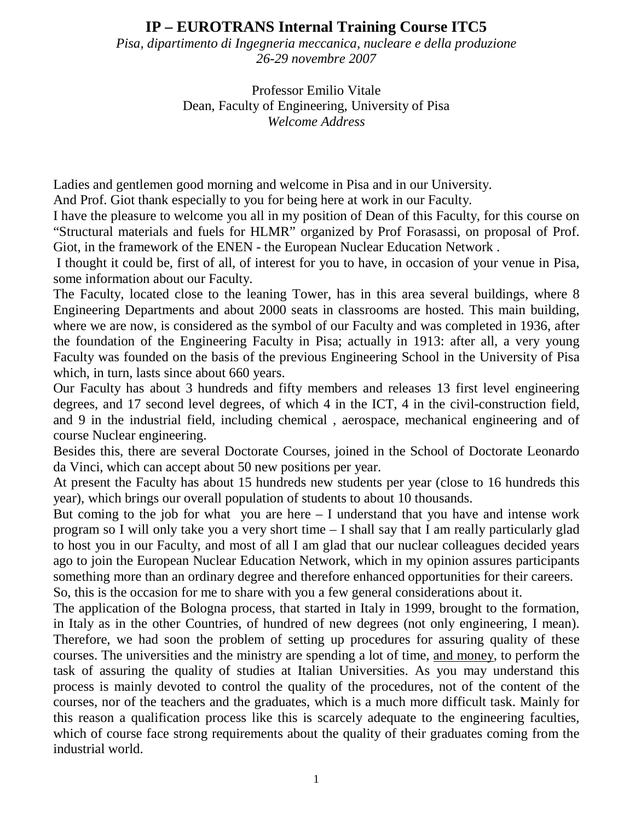## **IP – EUROTRANS Internal Training Course ITC5**

*Pisa, dipartimento di Ingegneria meccanica, nucleare e della produzione 26-29 novembre 2007* 

> Professor Emilio Vitale Dean, Faculty of Engineering, University of Pisa *Welcome Address*

Ladies and gentlemen good morning and welcome in Pisa and in our University.

And Prof. Giot thank especially to you for being here at work in our Faculty.

I have the pleasure to welcome you all in my position of Dean of this Faculty, for this course on "Structural materials and fuels for HLMR" organized by Prof Forasassi, on proposal of Prof. Giot, in the framework of the ENEN - the European Nuclear Education Network .

 I thought it could be, first of all, of interest for you to have, in occasion of your venue in Pisa, some information about our Faculty.

The Faculty, located close to the leaning Tower, has in this area several buildings, where 8 Engineering Departments and about 2000 seats in classrooms are hosted. This main building, where we are now, is considered as the symbol of our Faculty and was completed in 1936, after the foundation of the Engineering Faculty in Pisa; actually in 1913: after all, a very young Faculty was founded on the basis of the previous Engineering School in the University of Pisa which, in turn, lasts since about 660 years.

Our Faculty has about 3 hundreds and fifty members and releases 13 first level engineering degrees, and 17 second level degrees, of which 4 in the ICT, 4 in the civil-construction field, and 9 in the industrial field, including chemical , aerospace, mechanical engineering and of course Nuclear engineering.

Besides this, there are several Doctorate Courses, joined in the School of Doctorate Leonardo da Vinci, which can accept about 50 new positions per year.

At present the Faculty has about 15 hundreds new students per year (close to 16 hundreds this year), which brings our overall population of students to about 10 thousands.

But coming to the job for what you are here  $-$  I understand that you have and intense work program so I will only take you a very short time – I shall say that I am really particularly glad to host you in our Faculty, and most of all I am glad that our nuclear colleagues decided years ago to join the European Nuclear Education Network, which in my opinion assures participants something more than an ordinary degree and therefore enhanced opportunities for their careers. So, this is the occasion for me to share with you a few general considerations about it.

The application of the Bologna process, that started in Italy in 1999, brought to the formation, in Italy as in the other Countries, of hundred of new degrees (not only engineering, I mean). Therefore, we had soon the problem of setting up procedures for assuring quality of these courses. The universities and the ministry are spending a lot of time, and money, to perform the task of assuring the quality of studies at Italian Universities. As you may understand this process is mainly devoted to control the quality of the procedures, not of the content of the courses, nor of the teachers and the graduates, which is a much more difficult task. Mainly for this reason a qualification process like this is scarcely adequate to the engineering faculties, which of course face strong requirements about the quality of their graduates coming from the industrial world.